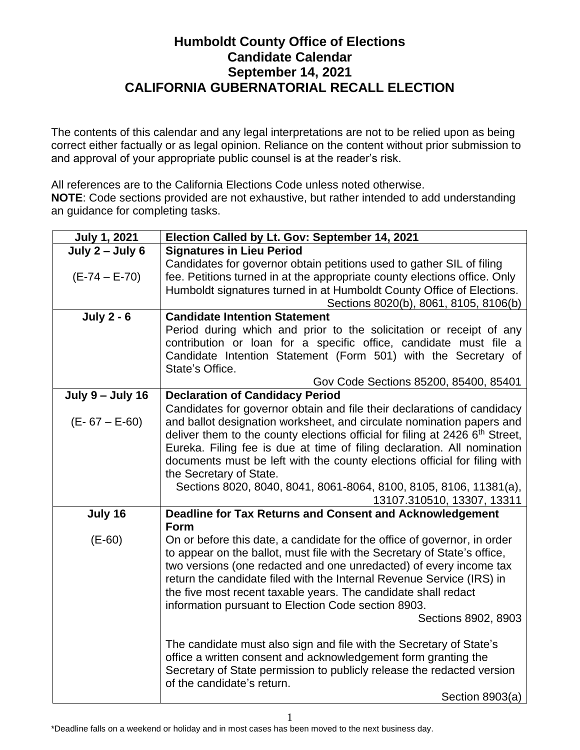## **Humboldt County Office of Elections Candidate Calendar September 14, 2021 CALIFORNIA GUBERNATORIAL RECALL ELECTION**

The contents of this calendar and any legal interpretations are not to be relied upon as being correct either factually or as legal opinion. Reliance on the content without prior submission to and approval of your appropriate public counsel is at the reader's risk.

All references are to the California Elections Code unless noted otherwise. **NOTE**: Code sections provided are not exhaustive, but rather intended to add understanding an guidance for completing tasks.

| <b>July 1, 2021</b>     | Election Called by Lt. Gov: September 14, 2021                                                  |
|-------------------------|-------------------------------------------------------------------------------------------------|
| July $2 -$ July 6       | <b>Signatures in Lieu Period</b>                                                                |
|                         | Candidates for governor obtain petitions used to gather SIL of filing                           |
| $(E-74 - E-70)$         | fee. Petitions turned in at the appropriate county elections office. Only                       |
|                         | Humboldt signatures turned in at Humboldt County Office of Elections.                           |
|                         | Sections 8020(b), 8061, 8105, 8106(b)                                                           |
| <b>July 2 - 6</b>       | <b>Candidate Intention Statement</b>                                                            |
|                         | Period during which and prior to the solicitation or receipt of any                             |
|                         | contribution or loan for a specific office, candidate must file a                               |
|                         | Candidate Intention Statement (Form 501) with the Secretary of                                  |
|                         | State's Office.                                                                                 |
|                         | Gov Code Sections 85200, 85400, 85401                                                           |
| <b>July 9 - July 16</b> | <b>Declaration of Candidacy Period</b>                                                          |
|                         | Candidates for governor obtain and file their declarations of candidacy                         |
| $(E - 67 - E - 60)$     | and ballot designation worksheet, and circulate nomination papers and                           |
|                         | deliver them to the county elections official for filing at 2426 6th Street,                    |
|                         | Eureka. Filing fee is due at time of filing declaration. All nomination                         |
|                         | documents must be left with the county elections official for filing with                       |
|                         | the Secretary of State.                                                                         |
|                         | Sections 8020, 8040, 8041, 8061-8064, 8100, 8105, 8106, 11381(a),<br>13107.310510, 13307, 13311 |
| July 16                 | Deadline for Tax Returns and Consent and Acknowledgement                                        |
|                         | Form                                                                                            |
| $(E-60)$                | On or before this date, a candidate for the office of governor, in order                        |
|                         | to appear on the ballot, must file with the Secretary of State's office,                        |
|                         | two versions (one redacted and one unredacted) of every income tax                              |
|                         | return the candidate filed with the Internal Revenue Service (IRS) in                           |
|                         | the five most recent taxable years. The candidate shall redact                                  |
|                         | information pursuant to Election Code section 8903.                                             |
|                         | Sections 8902, 8903                                                                             |
|                         | The candidate must also sign and file with the Secretary of State's                             |
|                         | office a written consent and acknowledgement form granting the                                  |
|                         | Secretary of State permission to publicly release the redacted version                          |
|                         | of the candidate's return.                                                                      |
|                         | Section 8903(a)                                                                                 |